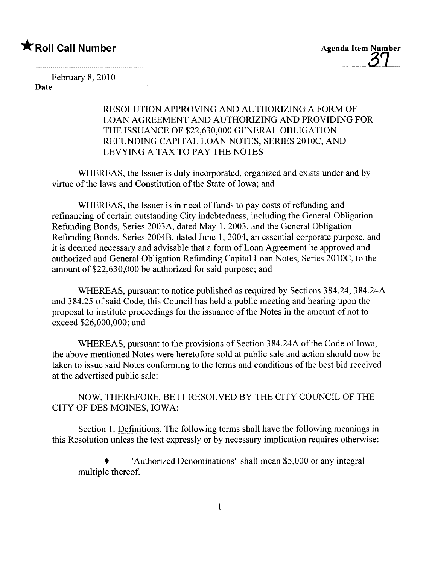# $\bigstar$ Roll Call Number

**Agenda Item Number** 

February 8, 2010 Date <u>music music music music music</u>

> RESOLUTION APPROVING AND AUTHORIZING A FORM OF LOAN AGREEMENT AND AUTHORIZING AND PROVIDING FOR THE ISSUANCE OF \$22,630,000 GENERAL OBLIGATION REFUNDING CAPITAL LOAN NOTES, SERIES 2010C, AND LEVYING A TAX TO PAY THE NOTES

WHEREAS, the Issuer is duly incorporated, organized and exists under and by virtue of the laws and Constitution of the State of Iowa; and

WHEREAS, the Issuer is in need of funds to pay costs of refunding and refinancing of certain outstanding City indebtedness, including the General Obligation Refunding Bonds, Series 2003A, dated May 1,2003, and the General Obligation Refunding Bonds, Series 2004B, dated June 1, 2004, an essential corporate purpose, and it is deemed necessary and advisable that a form of Loan Agreement be approved and authorized and General Obligation Refunding Capital Loan Notes, Series 2010C, to the amount of \$22,630,000 be authorized for said purpose; and

WHEREAS, pursuant to notice published as required by Sections 384.24, 384.24A and 384.25 of said Code, this Council has held a public meeting and hearing upon the proposal to institute proceedings for the issuance of the Notes in the amount of not to exceed \$26,000,000; and

WHEREAS, pursuant to the provisions of Section 384.24A of the Code of Iowa, the above mentioned Notes were heretofore sold at public sale and action should now be taken to issue said Notes conforming to the terms and conditions of the best bid received at the advertised public sale:

NOW, THEREFORE, BE IT RESOLVED BY THE CITY COUNCIL OF THE CITY OF DES MOINES, IOWA:

Section 1. Definitions. The following terms shall have the following meanings in this Resolution unless the text expressly or by necessary implication requires otherwise:

. "Authorized Denominations" shall mean \$5,000 or any integral multiple thereof.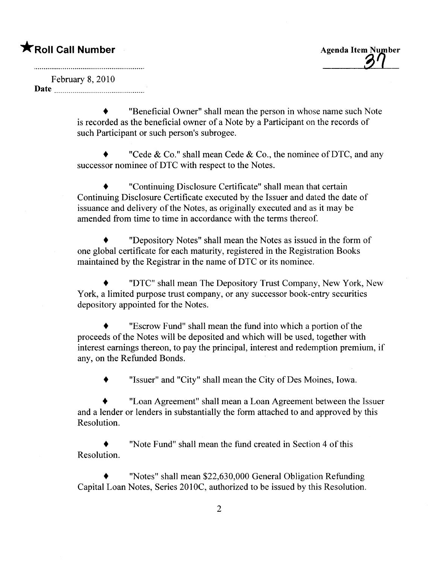# $\bigstar$ Roll Call Number

**Agenda Item Number** 

February 8, 2010 Date

> . "Beneficial Owner" shall mean the person in whose name such Note is recorded as the beneficial owner of a Note by a Participant on the records of such Participant or such person's subrogee.

> "Cede & Co." shall mean Cede & Co., the nominee of DTC, and any successor nominee of DTC with respect to the Notes.

. "Continuing Disclosure Certificate" shall mean that certain Continuing Disclosure Certificate executed by the Issuer and dated the date of issuance and delivery of the Notes, as originally executed and as it may be amended from time to time in accordance with the terms thereof.

. "Depository Notes" shall mean the Notes as issued in the form of one global certificate for each maturity, registered in the Registration Books maintained by the Registrar in the name of DTC or its nominee.

. "DTC" shall mean The Depository Trust Company, New York, New York, a limited purpose trust company, or any successor book-entry securities depository appointed for the Notes.

. "Escrow Fund" shall mean the fund into which a portion of the proceeds of the Notes will be deposited and which will be used, together with interest earnings thereon, to pay the principal, interest and redemption premium, if any, on the Refunded Bonds.

. "Issuer" and "City" shall mean the City of Des Moines, Iowa.

. "Loan Agreement" shall mean a Loan Agreement between the Issuer and a lender or lenders in substantially the form attached to and approved by this Resolution.

. "Note Fund" shall mean the fund created in Section 4 of this Resolution.

. "Notes" shall mean \$22,630,000 General Obligation Refunding Capital Loan Notes, Series 201OC, authorized to be issued by this Resolution.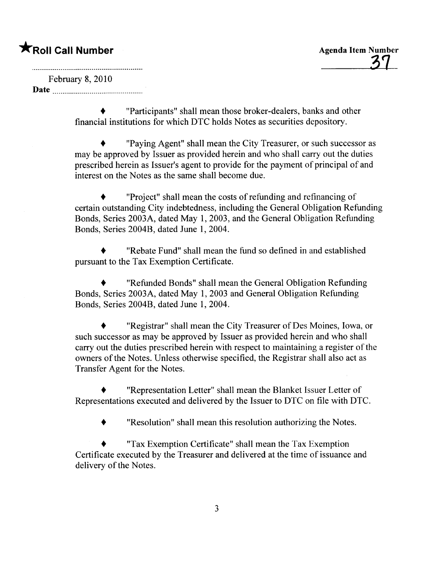February 8, 2010 Date

> . "Participants" shall mean those broker-dealers, banks and other financial institutions for which DTC holds Notes as securities depository.

. "Paying Agent" shall mean the City Treasurer, or such successor as may be approved by Issuer as provided herein and who shall carry out the duties prescribed herein as Issuer's agent to provide for the payment of principal of and interest on the Notes as the same shall become due.

. "Project" shall mean the costs of refunding and refinancing of certain outstanding City indebtedness, including the General Obligation Refunding Bonds, Series 2003A, dated May 1, 2003, and the General Obligation Refunding Bonds, Series 2004B, dated June 1, 2004.

. "Rebate Fund" shall mean the fund so defined in and established pursuant to the Tax Exemption Certificate.

. "Refunded Bonds" shall mean the General Obligation Refunding Bonds, Series 2003A, dated May 1, 2003 and General Obligation Refunding Bonds, Series 2004B, dated June 1, 2004.

. "Registrar" shall mean the City Treasurer of Des Moines, Iowa, or such successor as may be approved by Issuer as provided herein and who shall carry out the duties prescribed herein with respect to maintaining a register of the owners of the Notes. Unless otherwise specified, the Registrar shall also act as Transfer Agent for the Notes.

. "Representation Letter" shall mean the Blanket Issuer Letter of Representations executed and delivered by the Issuer to DTC on fie with DTC.

. "Resolution" shall mean this resolution authorizing the Notes.

. "Tax Exemption Certificate" shall mean the Tax Exemption Certificate executed by the Treasurer and delivered at the time of issuance and delivery of the Notes.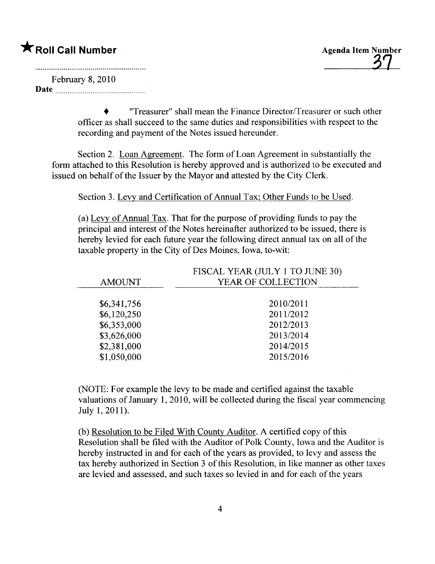February 8,2010 Date

> . "Treasurer" shall mean the Finance Director/Treasurer or such other officer as shall succeed to the same duties and responsibilties with respect to the recording and payment of the Notes issued hereunder.

Section 2. Loan Agreement. The form of Loan Agreement in substantially the form attached to this Resolution is hereby approved and is authorized to be executed and issued on behalf of the Issuer by the Mayor and attested by the City Clerk.

Section 3. Levy and Certification of Annual Tax; Other Funds to be Used.

(a) Levy of Annual Tax. That for the purpose of providing funds to pay the principal and interest of the Notes hereinafter authorized to be issued, there is hereby levied for each future year the following direct annual tax on all of the taxable property in the City of Des Moines, Iowa, to-wit:

|                            | FISCAL YEAR (JULY 1 TO JUNE 30) |
|----------------------------|---------------------------------|
| <b>AMOUNT</b>              | YEAR OF COLLECTION              |
|                            |                                 |
|                            |                                 |
|                            |                                 |
| \$6,353,000                | 2012/2013                       |
| \$3,626,000                | 2013/2014                       |
| \$2,381,000                | 2014/2015                       |
| \$1,050,000                | 2015/2016                       |
| \$6,341,756<br>\$6,120,250 | 2010/2011<br>2011/2012          |

(NOTE: For example the levy to be made and certified against the taxable valuations of January 1, 2010, will be collected during the fiscal year commencing July 1,2011).

(b) Resolution to be Filed With County Auditor. A certified copy of this Resolution shall be fied with the Auditor of Polk County, Iowa and the Auditor is hereby instructed in and for each of the years as provided, to levy and assess the tax hereby authorized in Section 3 of this Resolution, in like manner as other taxes are levied and assessed, and such taxes so levied in and for each of the years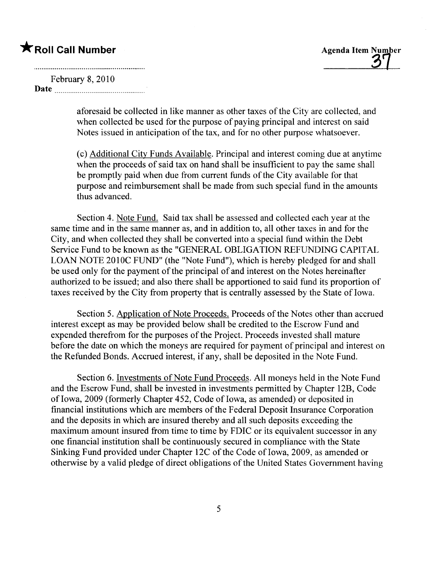<u>37</u>

### February 8, 2010 Date

aforesaid be collected in like manner as other taxes of the City are collected, and when collected be used for the purpose of paying principal and interest on said Notes issued in anticipation of the tax, and for no other purpose whatsoever.

(c) Additional City Funds Available. Principal and interest coming due at anytime when the proceeds of said tax on hand shall be insufficient to pay the same shall be promptly paid when due from current funds of the City available for that purpose and reimbursement shall be made from such special fund in the amounts thus advanced.

Section 4. Note Fund. Said tax shall be assessed and collected each year at the same time and in the same manner as, and in addition to, all other taxes in and for the City, and when collected they shall be converted into a special fund within the Debt Service Fund to be known as the "GENERAL OBLIGATION REFUNDING CAPITAL LOAN NOTE 2010C FUND" (the "Note Fund"), which is hereby pledged for and shall be used only for the payment of the principal of and interest on the Notes hereinafter authorized to be issued; and also there shall be apportioned to said fund its proportion of taxes received by the City from property that is centrally assessed by the State of Iowa.

Section 5. Application of Note Proceeds. Proceeds of the Notes other than accrued interest except as may be provided below shall be credited to the Escrow Fund and expended therefrom for the purposes of the Project. Proceeds invested shall mature before the date on which the moneys are required for payment of principal and interest on the Refunded Bonds. Accrued interest, if any, shall be deposited in the Note Fund.

Section 6. Investments of Note Fund Proceeds. All moneys held in the Note Fund and the Escrow Fund, shall be invested in investments permitted by Chapter 12B, Code of Iowa, 2009 (formerly Chapter 452, Code of Iowa, as amended) or deposited in financial institutions which are members of the Federal Deposit Insurance Corporation and the deposits in which are insured thereby and all such deposits exceeding the maximum amount insured from time to time by FDIC or its equivalent successor in any one financial institution shall be continuously secured in compliance with the State Sinking Fund provided under Chapter 12C of the Code of Iowa, 2009, as amended or otherwise by a valid pledge of direct obligations of the United States Government having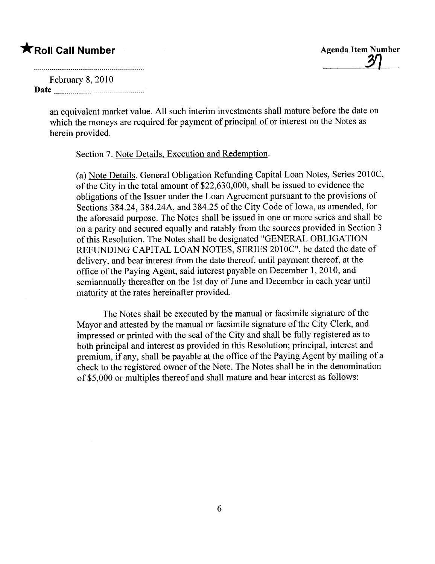**\***Roll Call Number<br>
Agenda Item Number<br>
Echnome 8, 2010

## February 8, 2010 Date manufacturers and the contract of the contract of the contract of the contract of the contract of the contract of the contract of the contract of the contract of the contract of the contract of the contract of the con

an equivalent market value. All such interim investments shall mature before the date on which the moneys are required for payment of principal of or interest on the Notes as herein provided.

Section 7. Note Details, Execution and Redemption.

(a) Note Details. General Obligation Refunding Capital Loan Notes, Series 2010C, of the City in the total amount of \$22,630,000, shall be issued to evidence the obligations of the Issuer under the Loan Agreement pursuant to the provisions of Sections 384.24, 384.24A, and 384.25 of the City Code of Iowa, as amended, for the aforesaid purpose. The Notes shall be issued in one or more series and shall be on a parity and secured equally and ratably from the sources provided in Section 3 of this Resolution. The Notes shall be designated "GENERAL OBLIGATION REFUNDING CAPITAL LOAN NOTES, SERIES 201OC", be dated the date of delivery, and bear interest from the date thereof, until payment thereof, at the office of the Paying Agent, said interest payable on December 1,2010, and semiannually thereafter on the 1st day of June and December in each year until maturity at the rates hereinafter provided.

The Notes shall be executed by the manual or facsimile signature of the Mayor and attested by the manual or facsimile signature of the City Clerk, and impressed or printed with the seal of the City and shall be fully registered as to both principal and interest as provided in this Resolution; principal, interest and premium, if any, shall be payable at the office of the Paying Agent by mailng of a check to the registered owner of the Note. The Notes shall be in the denomination of\$5,000 or multiples thereof and shall mature and bear interest as follows: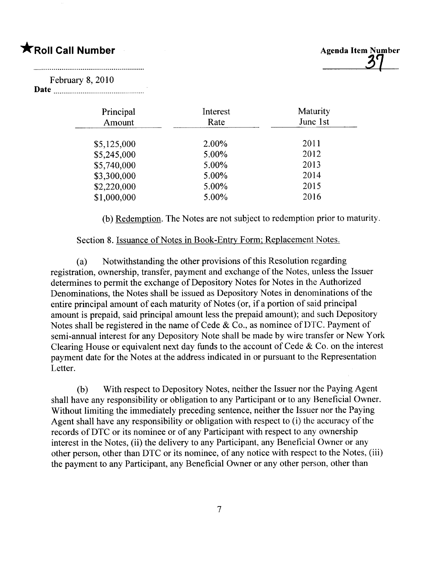

## February 8,2010

Date <u>manual proposes</u>

| Principal<br>Amount | Interest<br>Rate | Maturity<br>June 1st |  |
|---------------------|------------------|----------------------|--|
| \$5,125,000         | 2.00%            | 2011                 |  |
| \$5,245,000         | 5.00%            | 2012                 |  |
| \$5,740,000         | 5.00%            | 2013                 |  |
| \$3,300,000         | 5.00%            | 2014                 |  |
| \$2,220,000         | 5.00%            | 2015                 |  |
| \$1,000,000         | 5.00%            | 2016                 |  |

(b) Redemption. The Notes are not subject to redemption prior to maturity.

### Section 8. Issuance of Notes in Book-Entry Form; Replacement Notes.

(a) Notwithstanding the other provisions of this Resolution regarding registration, ownership, transfer, payment and exchange of the Notes, unless the Issuer determines to permit the exchange of Depository Notes for Notes in the Authorized Denominations, the Notes shall be issued as Depository Notes in denominations of the entire principal amount of each maturity of Notes (or, if a portion of said principal amount is prepaid, said principal amount less the prepaid amount); and such Depository Notes shall be registered in the name of Cede & Co., as nominee of DTC. Payment of semi-annual interest for any Depository Note shall be made by wire transfer or New York Clearing House or equivalent next day funds to the account of Cede  $& Co.$  on the interest payment date for the Notes at the address indicated in or pursuant to the Representation Letter.

(b) With respect to Depository Notes, neither the Issuer nor the Paying Agent shall have any responsibility or obligation to any Participant or to any Beneficial Owner. Without limiting the immediately preceding sentence, neither the Issuer nor the Paying Agent shall have any responsibilty or obligation with respect to (i) the accuracy of the records of DTC or its nominee or of any Participant with respect to any ownership interest in the Notes, (ii) the delivery to any Participant, any Beneficial Owner or any other person, other than DTC or its nominee, of any notice with respect to the Notes, (iii) the payment to any Participant, any Beneficial Owner or any other person, other than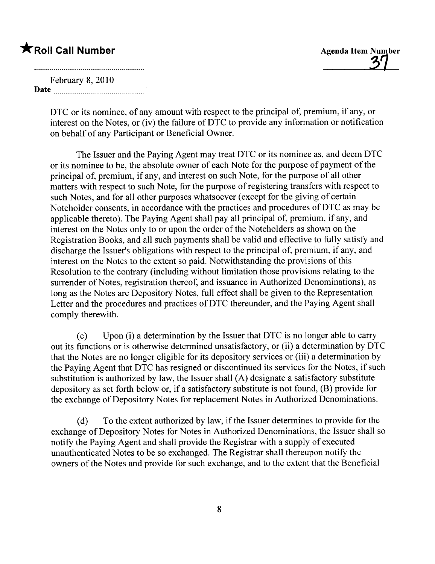# $\bigstar$ Roll Call Number

**Agenda Item Number** 

## February 8, 2010

Date and the set of the set of the set of the set of the set of the set of the set of the set of the set of the set of the set of the set of the set of the set of the set of the set of the set of the set of the set of the

DTC or its nominee, of any amount with respect to the principal of, premium, if any, or interest on the Notes, or (iv) the failure of DTC to provide any information or notification on behalf of any Participant or Beneficial Owner.

The Issuer and the Paying Agent may treat DTC or its nominee as, and deem DTC or its nominee to be, the absolute owner of each Note for the purpose of payment of the principal of, premium, if any, and interest on such Note, for the purpose of all other matters with respect to such Note, for the purpose of registering transfers with respect to such Notes, and for all other purposes whatsoever (except for the giving of certain Noteholder consents, in accordance with the practices and procedures of DTC as may be applicable thereto). The Paying Agent shall pay all principal of, premium, if any, and interest on the Notes only to or upon the order of the Noteholders as shown on the Registration Books, and all such payments shall be valid and effective to fully satisfy and discharge the Issuer's obligations with respect to the principal of, premium, if any, and interest on the Notes to the extent so paid. Notwithstanding the provisions of this Resolution to the contrary (including without limitation those provisions relating to the surrender of Notes, registration thereof, and issuance in Authorized Denominations), as long as the Notes are Depository Notes, full effect shall be given to the Representation Letter and the procedures and practices of DTC thereunder, and the Paying Agent shall comply therewith.

(c) Upon (i) a determination by the Issuer that DTC is no longer able to carr out its functions or is otherwise determined unsatisfactory, or (ii) a determination by DTC that the Notes are no longer eligible for its depository services or (iii) a determination by the Paying Agent that DTC has resigned or discontinued its services for the Notes, if such substitution is authorized by law, the Issuer shall (A) designate a satisfactory substitute depository as set forth below or, if a satisfactory substitute is not found, (B) provide for the exchange of Depository Notes for replacement Notes in Authorized Denominations.

(d) To the extent authorized by law, if the Issuer determines to provide for the exchange of Depository Notes for Notes in Authorized Denominations, the Issuer shall so notify the Paying Agent and shall provide the Registrar with a supply of executed unauthenticated Notes to be so exchanged. The Registrar shall thereupon notify the owners of the Notes and provide for such exchange, and to the extent that the Beneficial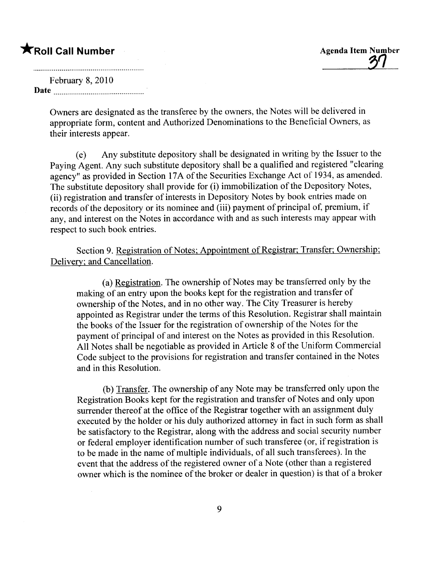<u>יט</u>

## February 8, 2010 Date

Owners are designated as the transferee by the owners, the Notes will be delivered in appropriate form, content and Authorized Denominations to the Beneficial Owners, as their interests appear.

(e) Any substitute depository shall be designated in writing by the Issuer to the Paying Agent. Any such substitute depository shall be a qualified and registered "clearing agency" as provided in Section 17A of the Securities Exchange Act of 1934, as amended. The substitute depository shall provide for (i) immobilization of the Depository Notes, (ii) registration and transfer of interests in Depository Notes by book entries made on records of the depository or its nominee and (iii) payment of principal of, premium, if any, and interest on the Notes in accordance with and as such interests may appear with respect to such book entries.

Section 9. Registration of Notes; Appointment of Registrar; Transfer; Ownership; Delivery; and Cancellation.

(a) Registration. The ownership of Notes may be transferred only by the making of an entry upon the books kept for the registration and transfer of ownership of the Notes, and in no other way. The City Treasurer is hereby appointed as Registrar under the terms of this Resolution. Registrar shall maintain the books of the Issuer for the registration of ownership of the Notes for the payment of principal of and interest on the Notes as provided in this Resolution. All Notes shall be negotiable as provided in Article 8 of the Uniform Commercial Code subject to the provisions for registration and transfer contained in the Notes and in this Resolution.

(b) Transfer. The ownership of any Note may be transferred only upon the Registration Books kept for the registration and transfer of Notes and only upon surrender thereof at the office of the Registrar together with an assignment duly executed by the holder or his duly authorized attorney in fact in such form as shall be satisfactory to the Registrar, along with the address and social security number or federal employer identification number of such transferee (or, if registration is to be made in the name of multiple individuals, of all such transferees). In the event that the address of the registered owner of a Note (other than a registered owner which is the nominee of the broker or dealer in question) is that of a broker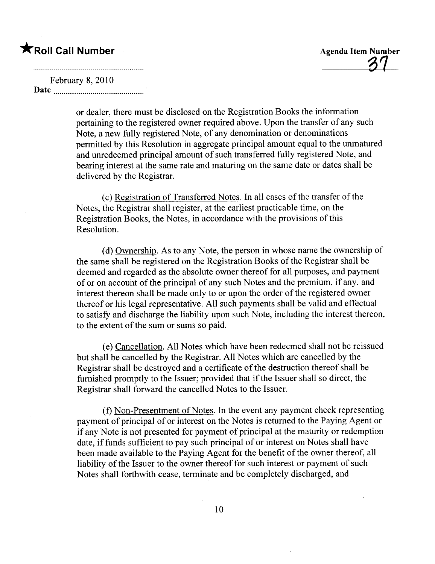'81-

### February 8,2010

Date

or dealer, there must be disclosed on the Registration Books the information pertaining to the registered owner required above. Upon the transfer of any such Note, a new fully registered Note, of any denomination or denominations permitted by this Resolution in aggregate principal amount equal to the unmatured and unredeemed principal amount of such transferred fully registered Note, and bearing interest at the same rate and maturing on the same date or dates shall be delivered by the Registrar.

(c) Registration of Transferred Notes. In all cases of the transfer of the Notes, the Registrar shall register, at the earliest practicable time, on the Registration Books, the Notes, in accordance with the provisions of this Resolution.

(d) Ownership. As to any Note, the person in whose name the ownership of the same shall be registered on the Registration Books of the Registrar shall be deemed and regarded as the absolute owner thereof for all purposes, and payment of or on account of the principal of any such Notes and the premium, if any, and interest thereon shall be made only to or upon the order of the registered owner thereof or his legal representative. All such payments shall be valid and effectual to satisfy and discharge the liabilty upon such Note, including the interest thereon, to the extent of the sum or sums so paid.

(e) Cancellation. All Notes which have been redeemed shall not be reissued but shall be cancelled by the Registrar. All Notes which are cancelled by the Registrar shall be destroyed and a certificate of the destruction thereof shall be furnished promptly to the Issuer; provided that if the Issuer shall so direct, the Registrar shall forward the cancelled Notes to the Issuer.

(f) Non-Presentment of Notes. In the event any payment check representing payment of principal of or interest on the Notes is returned to the Paying Agent or if any Note is not presented for payment of principal at the maturity or redemption date, if funds sufficient to pay such principal of or interest on Notes shall have been made available to the Paying Agent for the benefit of the owner thereof, all liabilty of the Issuer to the owner thereof for such interest or payment of such Notes shall forthwith cease, terminate and be completely discharged, and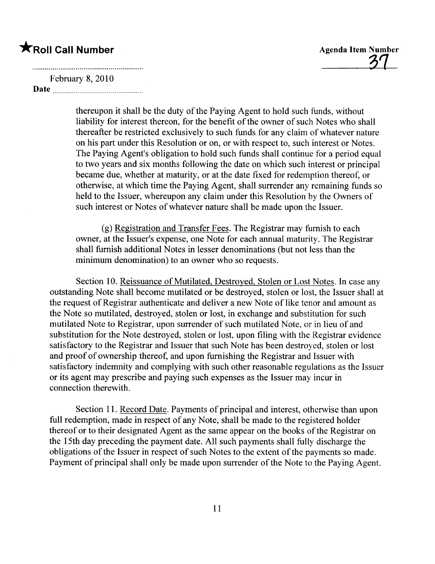31-

February 8, 2010

Date

thereupon it shall be the duty of the Paying Agent to hold such funds, without liabilty for interest thereon, for the benefit of the owner of such Notes who shall thereafter be restricted exclusively to such funds for any claim of whatever nature on his part under this Resolution or on, or with respect to, such interest or Notes. The Paying Agent's obligation to hold such funds shall continue for a period equal to two years and six months following the date on which such interest or principal became due, whether at maturity, or at the date fixed for redemption thereof, or otherwise, at which time the Paying Agent, shall surrender any remaining funds so held to the Issuer, whereupon any claim under this Resolution by the Owners of such interest or Notes of whatever nature shall be made upon the Issuer.

(g) Registration and Transfer Fees. The Registrar may furnish to each owner, at the Issuer's expense, one Note for each annual maturity. The Registrar shall furnish additional Notes in lesser denominations (but not less than the minimum denomination) to an owner who so requests.

Section 10. Reissuance of Mutilated, Destroyed, Stolen or Lost Notes. In case any outstanding Note shall become mutilated or be destroyed, stolen or lost, the Issuer shall at the request of Registrar authenticate and deliver a new Note of like tenor and amount as the Note so mutilated, destroyed, stolen or lost, in exchange and substitution for such mutilated Note to Registrar, upon surrender of such mutilated Note, or in lieu of and substitution for the Note destroyed, stolen or lost, upon fiing with the Registrar evidence satisfactory to the Registrar and Issuer that such Note has been destroyed, stolen or lost and proof of ownership thereof, and upon furnishing the Registrar and Issuer with satisfactory indemnity and complying with such other reasonable regulations as the Issuer or its agent may prescribe and paying such expenses as the Issuer may incur in connection therewith.

Section 11. Record Date. Payments of principal and interest, otherwise than upon full redemption, made in respect of any Note, shall be made to the registered holder thereof or to their designated Agent as the same appear on the books of the Registrar on the 15th day preceding the payment date. All such payments shall fully discharge the obligations of the Issuer in respect of such Notes to the extent of the payments so made. Payment of principal shall only be made upon surrender of the Note to the Paying Agent.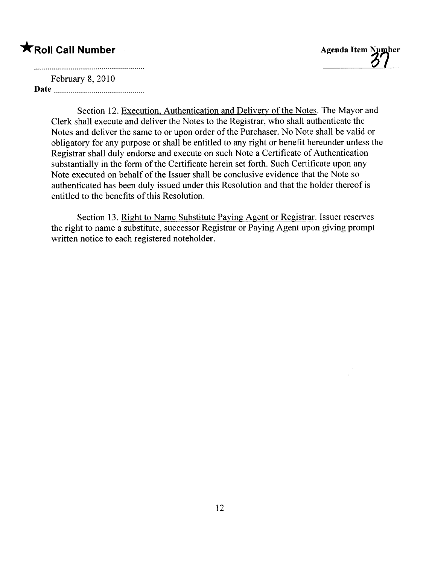February 8, 2010 Date

Section 12. Execution, Authentication and Delivery of the Notes. The Mayor and Clerk shall execute and deliver the Notes to the Registrar, who shall authenticate the Notes and deliver the same to or upon order of the Purchaser. No Note shall be valid or obligatory for any purpose or shall be entitled to any right or benefit hereunder unless the Registrar shall duly endorse and execute on such Note a Certificate of Authentication substantially in the form of the Certificate herein set forth. Such Certificate upon any Note executed on behalf of the Issuer shall be conclusive evidence that the Note so authenticated has been duly issued under this Resolution and that the holder thereof is entitled to the benefits of this Resolution.

Section 13. Right to Name Substitute Paying Agent or Registrar. Issuer reserves the right to name a substitute, successor Registrar or Paying Agent upon giving prompt written notice to each registered noteholder.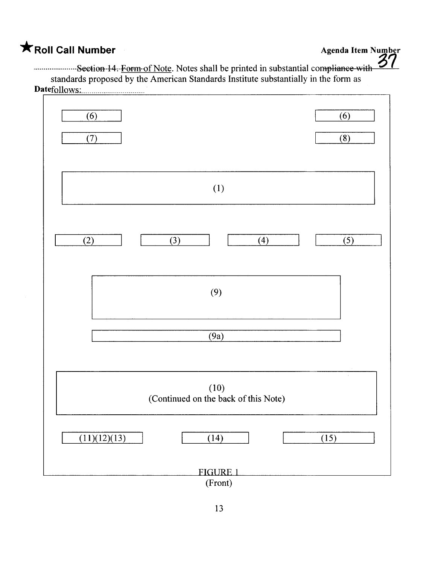.......................Seetion-14. Form of Note. Notes shall be printed in substantial compliance with standards proposed by the American Standards Institute substantially in the form as Datefollows;m 0 0 o\_\_\_ \_.. 0 0 0 0 0 \_\_\_\_ \_\_om \_\_ 0 0

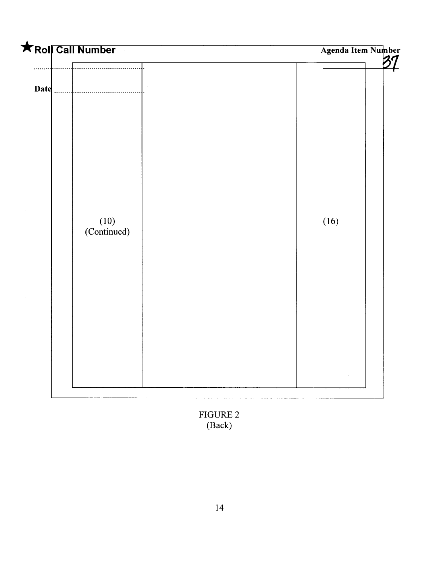

FIGURE 2 (Back)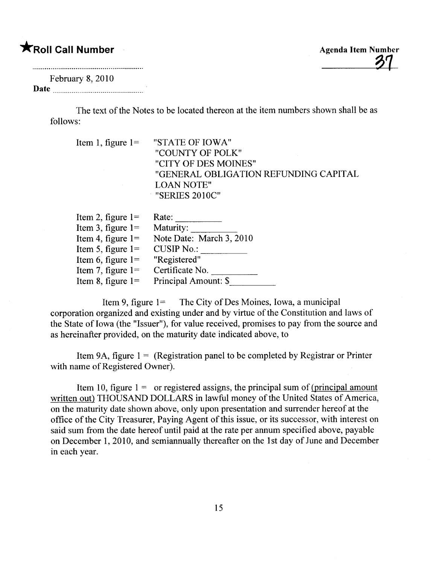# \*Roll Call Number

February 8, 2010 Date

> The text of the Notes to be located thereon at the item numbers shown shall be as follows:

Item 1, figure  $1 =$ "STATE OF IOWA" "COUNTY OF POLK" "CITY OF DES MOINES" "GENERAL OBLIGATION REFUNDING CAPITAL LOAN NOTE" "SERIES 2010C"

| Item 2, figure $1=$ | Rate:                    |
|---------------------|--------------------------|
| Item 3, figure $1=$ | Maturity:                |
| Item 4, figure $1=$ | Note Date: March 3, 2010 |
| Item 5, figure $1=$ | <b>CUSIP No.:</b>        |
| Item 6, figure $1=$ | "Registered"             |
| Item 7, figure $1=$ | Certificate No.          |
| Item 8, figure $1=$ | Principal Amount: \$     |

Item 9, figure 1= The City of Des Moines, Iowa, a municipal corporation organized and existing under and by virtue of the Constitution and laws of the State of Iowa (the "Issuer"), for value received, promises to pay from the source and as hereinafter provided, on the maturity date indicated above, to

Item 9A, figure  $1 = (Resistration panel to be completed by Registrar or Printer)$ with name of Registered Owner).

Item 10, figure  $1 =$  or registered assigns, the principal sum of (principal amount written out) THOUSAND DOLLARS in lawful money of the United States of America, on the maturity date shown above, only upon presentation and surrender hereof at the office of the City Treasurer, Paying Agent of this issue, or its successor, with interest on said sum from the date hereof until paid at the rate per annum specified above, payable on December 1, 2010, and semiannually thereafter on the 1st day of June and December in each year.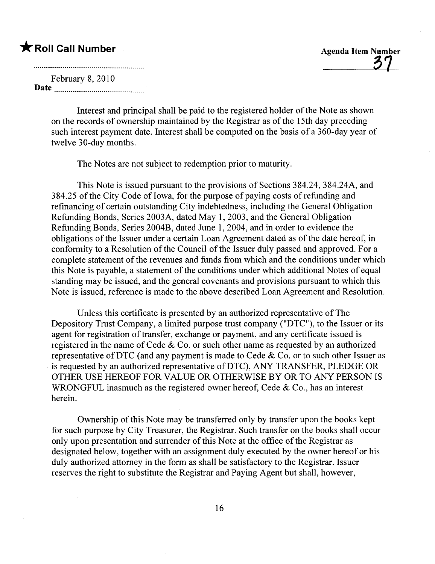<u>31</u>

February 8, 2010 Date

> Interest and principal shall be paid to the registered holder of the Note as shown on the records of ownership maintained by the Registrar as of the 15th day preceding such interest payment date. Interest shall be computed on the basis of a 360-day year of twelve 30-day months.

The Notes are not subject to redemption prior to maturity.

This Note is issued pursuant to the provisions of Sections 384.24, 384.24A, and 384.25 of the City Code of Iowa, for the purpose of paying costs of refunding and refinancing of certain outstanding City indebtedness, including the General Obligation Refunding Bonds, Series 2003A, dated May 1,2003, and the General Obligation Refunding Bonds, Series 2004B, dated June i, 2004, and in order to evidence the obligations of the Issuer under a certain Loan Agreement dated as of the date hereof, in conformity to a Resolution of the Council of the Issuer duly passed and approved. For a complete statement of the revenues and funds from which and the conditions under which this Note is payable, a statement of the conditions under which additional Notes of equal standing may be issued, and the general covenants and provisions pursuant to which this Note is issued, reference is made to the above described Loan Agreement and Resolution.

Unless this certificate is presented by an authorized representative of The Depository Trust Company, a limited purpose trust company ("DTC"), to the Issuer or its agent for registration of transfer, exchange or payment, and any certificate issued is registered in the name of Cede & Co. or such other name as requested by an authorized representative of DTC (and any payment is made to Cede  $\&$  Co. or to such other Issuer as is requested by an authorized representative of DTC), ANY TRANSFER, PLEDGE OR OTHER USE HEREOF FOR VALUE OR OTHERWISE BY OR TO ANY PERSON IS WRONGFUL inasmuch as the registered owner hereof, Cede & Co., has an interest herein.

Ownership of this Note may be transferred only by transfer upon the books kept for such purpose by City Treasurer, the Registrar. Such transfer on the books shall occur only upon presentation and surrender of this Note at the office of the Registrar as designated below, together with an assignment duly executed by the owner hereof or his duly authorized attorney in the form as shall be satisfactory to the Registrar. Issuer reserves the right to substitute the Registrar and Paying Agent but shall, however,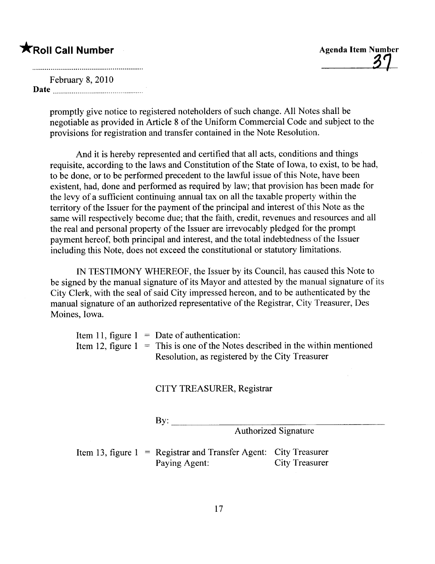<u>37</u>

## February 8, 2010

Date

promptly give notice to registered noteholders of such change. All Notes shall be negotiable as provided in Article 8 of the Uniform Commercial Code and subject to the provisions for registration and transfer contained in the Note Resolution.

And it is hereby represented and certified that all acts, conditions and things requisite, according to the laws and Constitution of the State of Iowa, to exist, to be had, to be done, or to be performed precedent to the lawful issue of this Note, have been existent, had, done and performed as required by law; that provision has been made for the levy of a sufficient continuing annual tax on all the taxable property within the territory of the Issuer for the payment of the principal and interest of this Note as the same will respectively become due; that the faith, credit, revenues and resources and all the real and personal property of the Issuer are irrevocably pledged for the prompt payment hereof, both principal and interest, and the total indebtedness of the Issuer including this Note, does not exceed the constitutional or statutory limitations.

IN TESTIMONY WHEREOF, the Issuer by its Council, has caused this Note to be signed by the manual signature of its Mayor and attested by the manual signature of its City Clerk, with the seal of said City impressed hereon, and to be authenticated by the manual signature of an authorized representative of the Registrar, City Treasurer, Des Moines, Iowa.

|  | Item 11, figure $1 =$ Date of authentication:                                    |
|--|----------------------------------------------------------------------------------|
|  | Item 12, figure $1 =$ This is one of the Notes described in the within mentioned |
|  | Resolution, as registered by the City Treasurer                                  |

CITY TREASURER, Registrar

By:

Authorized Signature

Item 13, figure  $1 = \text{Regular and Transfer Agent:}$  City Treasurer Paying Agent: City Treasurer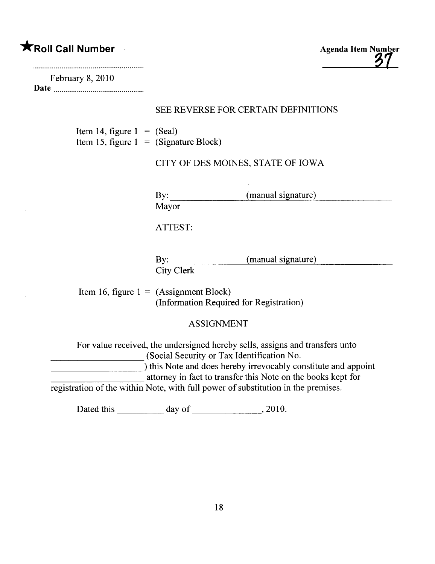# $\bigstar$ Roll Call Number

Agenda Item Number

| February 8, 2010                                                        |                              |                                                                                                                                                                                                                                                              |
|-------------------------------------------------------------------------|------------------------------|--------------------------------------------------------------------------------------------------------------------------------------------------------------------------------------------------------------------------------------------------------------|
|                                                                         |                              | SEE REVERSE FOR CERTAIN DEFINITIONS                                                                                                                                                                                                                          |
| Item 14, figure $1 = (Scal)$<br>Item 15, figure $1 =$ (Signature Block) |                              |                                                                                                                                                                                                                                                              |
|                                                                         |                              | CITY OF DES MOINES, STATE OF IOWA                                                                                                                                                                                                                            |
|                                                                         | By:<br>Mayor                 | (manual signature)                                                                                                                                                                                                                                           |
|                                                                         | ATTEST:                      |                                                                                                                                                                                                                                                              |
|                                                                         | $\mathbf{By:}$<br>City Clerk | (manual signature)                                                                                                                                                                                                                                           |
| Item 16, figure $1 = (Assignment Block)$                                |                              | (Information Required for Registration)                                                                                                                                                                                                                      |
|                                                                         |                              | <b>ASSIGNMENT</b>                                                                                                                                                                                                                                            |
|                                                                         |                              | For value received, the undersigned hereby sells, assigns and transfers unto<br>(Social Security or Tax Identification No.<br>) this Note and does hereby irrevocably constitute and appoint<br>attorney in fact to transfer this Note on the books kept for |
|                                                                         |                              | registration of the within Note, with full power of substitution in the premises.                                                                                                                                                                            |
|                                                                         |                              |                                                                                                                                                                                                                                                              |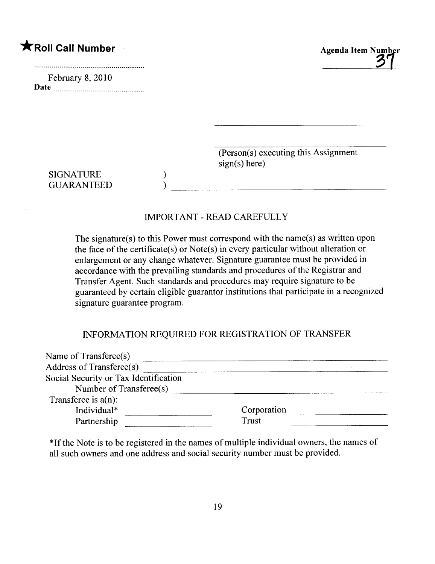February 8, 2010 Date  $\frac{1}{2}$ 



 $(Person(s)$  executing this Assignment  $sign(s)$  here)

<u> 1980 - Johann Barn, mars an t-Amerikaansk kommunister (</u>

SIGNATURE GUARANTEED

## IMPORTANT - READ CAREFULLY

) )

The signature(s) to this Power must correspond with the name(s) as written upon the face of the certificate(s) or Note(s) in every particular without alteration or enlargement or any change whatever. Signature guarantee must be provided in accordance with the prevailng standards and procedures of the Registrar and Transfer Agent. Such standards and procedures may require signature to be guaranteed by certain eligible guarantor institutions that participate in a recognized signature guarantee program.

## INFORMATION REQUIRED FOR REGISTRATION OF TRANSFER

| Corporation |  |
|-------------|--|
| Trust       |  |
|             |  |

\*Ifthe Note is to be registered in the names of multiple individual owners, the names of all such owners and one address and social security number must be provided.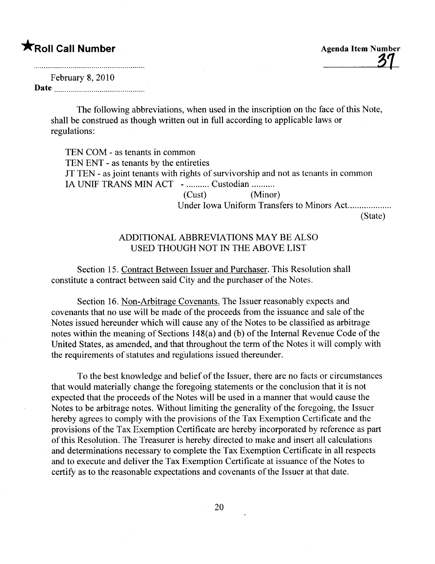February 8, 2010 Date

> The following abbreviations, when used in the inscription on the face of this Note, shall be construed as though written out in full according to applicable laws or regulations:

TEN COM - as tenants in common TEN ENT - as tenants by the entireties JT TEN - as joint tenants with rights of survivorship and not as tenants in common IA UNIF TRANS MIN ACT - .......... Custodian .......... (Cust) (Minor) Under Iowa Uniform Transfers to Minors Act.................. (State)

## ADDITIONAL ABBREVIATIONS MAY BE ALSO USED THOUGH NOT IN THE ABOVE LIST

Section 15. Contract Between Issuer and Purchaser. This Resolution shall constitute a contract between said City and the purchaser of the Notes.

Section 16. Non-Arbitrage Covenants. The Issuer reasonably expects and covenants that no use wil be made of the proceeds from the issuance and sale of the Notes issued hereunder which wil cause any of the Notes to be classified as arbitrage notes within the meaning of Sections 148(a) and (b) of the Internal Revenue Code of the United States, as amended, and that throughout the term of the Notes it wil comply with the requirements of statutes and regulations issued thereunder.

To the best knowledge and belief of the Issuer, there are no facts or circumstances that would materially change the foregoing statements or the conclusion that it is not expected that the proceeds of the Notes will be used in a manner that would cause the Notes to be arbitrage notes. Without limiting the generality of the foregoing, the Issuer hereby agrees to comply with the provisions of the Tax Exemption Certificate and the provisions of the Tax Exemption Certificate are hereby incorporated by reference as part of this Resolution. The Treasurer is hereby directed to make and insert all calculations and determinations necessary to complete the Tax Exemption Certificate in all respects and to execute and deliver the Tax Exemption Certificate at issuance of the Notes to certify as to the reasonable expectations and covenants of the Issuer at that date.